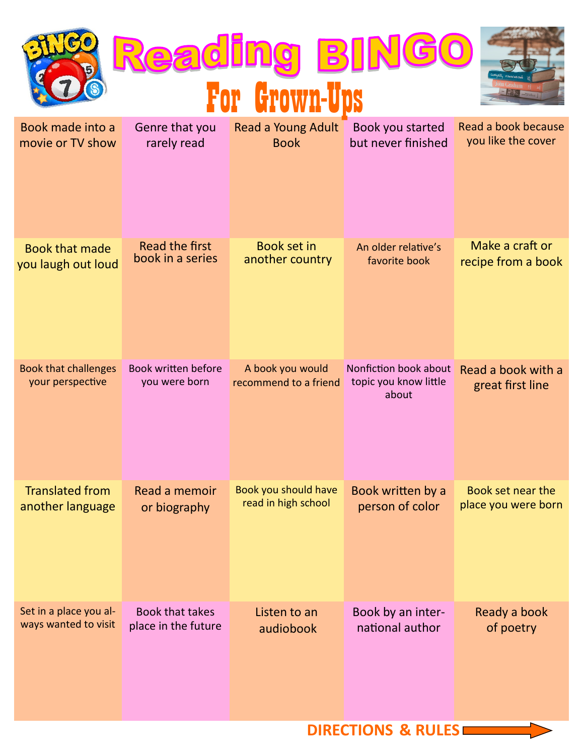

| Book made into a                                | Genre that you                       | Read a Young Adult                        | Book you started                                        | Read a book because                    |
|-------------------------------------------------|--------------------------------------|-------------------------------------------|---------------------------------------------------------|----------------------------------------|
| movie or TV show                                | rarely read                          | <b>Book</b>                               | but never finished                                      | you like the cover                     |
| <b>Book that made</b>                           | <b>Read the first</b>                | <b>Book set in</b>                        | An older relative's                                     | Make a craft or                        |
| you laugh out loud                              | book in a series                     | another country                           | favorite book                                           | recipe from a book                     |
| <b>Book that challenges</b><br>your perspective | Book written before<br>you were born | A book you would<br>recommend to a friend | Nonfiction book about<br>topic you know little<br>about | Read a book with a<br>great first line |
| <b>Translated from</b>                          | Read a memoir                        | Book you should have                      | Book written by a                                       | Book set near the                      |
| another language                                | or biography                         | read in high school                       | person of color                                         | place you were born                    |
| Set in a place you al-                          | Book that takes                      | Listen to an                              | Book by an inter-                                       | Ready a book                           |
| ways wanted to visit                            | place in the future                  | audiobook                                 | national author                                         | of poetry                              |

**DIRECTIONS & RULES**